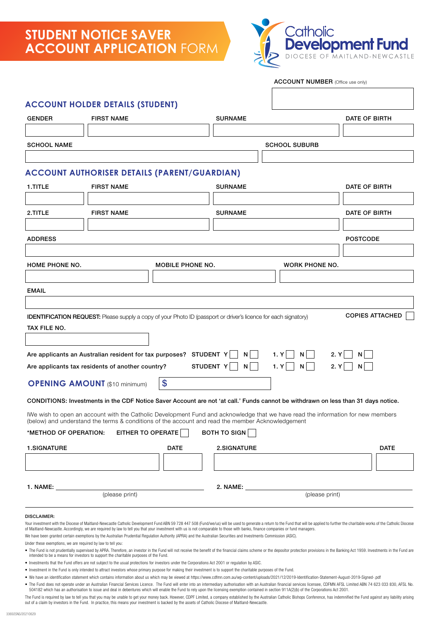## **STUDENT NOTICE SAVER ACCOUNT APPLICATION** FORM



# IWe wish to open an account with the Catholic Development Fund and acknowledge that we have read the information for new members (below) and understand the terms & conditions of the account and read the member Acknowledgement \*METHOD OF OPERATION: EITHER TO OPERATE  $\Box$  BOTH TO SIGN GENDER FIRST NAME THE SURNAME SURNAME DATE OF BIRTH SCHOOL NAME SCHOOL SUBURB **ACCOUNT HOLDER DETAILS (STUDENT)** ADDRESS POSTCODE **OPENING AMOUNT** (\$10 minimum) \\$ 1.TITLE FIRST NAME SURNAME SURNAME 2.TITLE FIRST NAME SURNAME SURNAME DATE OF BIRTH **ACCOUNT AUTHORISER DETAILS (PARENT/GUARDIAN)** IDENTIFICATION REQUEST: Please supply a copy of your Photo ID (passport or driver's licence for each signatory) COPIES ATTACHED CONDITIONS: Investments in the CDF Notice Saver Account are not 'at call.' Funds cannot be withdrawn on less than 31 days notice. EMAIL HOME PHONE NO. MOBILE PHONE NO. WORK PHONE NO. 1.SIGNATURE DATE 2.SIGNATURE DATE 1. NAME: 2. NAME: (please print) (please print) TAX FILE NO. Are applicants an Australian resident for tax purposes? STUDENT  $Y \cap N \cap 1. Y \cap N \cap 2. Y \cap N$ Are applicants tax residents of another country? STUDENT Y N N 1. Y N N 2. Y N N N ACCOUNT NUMBER (Office use only)

#### DISCLAIMER:

Your investment with the Diocese of Maitland-Newcastle Catholic Development Fund ABN 59 728 447 508 (Fund/we/us) will be used to generate a return to the Fund that will be applied to further the charitable works of the Cat of Maitland-Newcastle. Accordingly, we are required by law to tell you that your investment with us is not comparable to those with banks, finance companies or fund managers. We have been granted certain exemptions by the Australian Prudential Regulation Authority (APRA) and the Australian Securities and Investments Commission (ASIC).

Under these exemptions, we are required by law to tell you:

- . The Fund is not prudentially supervised by APRA. Therefore, an investor in the Fund will not receive the benefit of the financial claims scheme or the depositor protection provisions in the Banking Act 1959. Investments intended to be a means for investors to support the charitable purposes of the Fund.
- Investments that the Fund offers are not subject to the usual protections for investors under the Corporations Act 2001 or regulation by ASIC.
- Investment in the Fund is only intended to attract investors whose primary purpose for making their investment is to support the charitable purposes of the Fund.
- We have an identification statement which contains information about us which may be viewed at https://www.cdfmn.com.au/[wp-content/uploads/2021/12/2019-Identification-Statement-August-2019-Signed-.pdf](https://www.cdfmn.com.au/wp-content/uploads/2021/12/2019-Identification-Statement-August-2019-Signed-.pdf)
- . The Fund does not operate under an Australian Financial Services Licence. The Fund will enter into an intermediary authorisation with an Australian financial services licensee. CDFMN AFSL Limited ABN 74 623 033 830, AFSL 504182 which has an authorisation to issue and deal in debentures which will enable the Fund to rely upon the licensing exemption contained in section 911A(2)(b) of the Corporations Act 2001.

The Fund is required by law to tell you that you may be unable to get your money back. However, CDPF Limited, a company established by the Australian Catholic Bishops Conference, has indemnified the Fund against any liabil